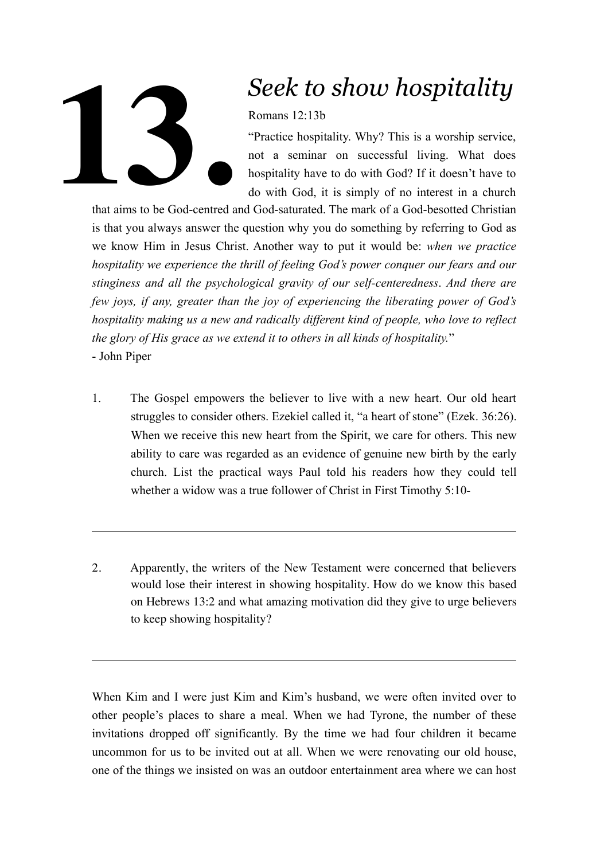

## *Seek to show hospitality*

Romans 12:13b

"Practice hospitality. Why? This is a worship service, not a seminar on successful living. What does hospitality have to do with God? If it doesn't have to do with God, it is simply of no interest in a church

that aims to be God-centred and God-saturated. The mark of a God-besotted Christian is that you always answer the question why you do something by referring to God as we know Him in Jesus Christ. Another way to put it would be: *when we practice hospitality we experience the thrill of feeling God's power conquer our fears and our stinginess and all the psychological gravity of our self-centeredness*. *And there are few joys, if any, greater than the joy of experiencing the liberating power of God's hospitality making us a new and radically different kind of people, who love to reflect the glory of His grace as we extend it to others in all kinds of hospitality.*" - John Piper

- 1. The Gospel empowers the believer to live with a new heart. Our old heart struggles to consider others. Ezekiel called it, "a heart of stone" (Ezek. 36:26). When we receive this new heart from the Spirit, we care for others. This new ability to care was regarded as an evidence of genuine new birth by the early church. List the practical ways Paul told his readers how they could tell whether a widow was a true follower of Christ in First Timothy 5:10-
- 2. Apparently, the writers of the New Testament were concerned that believers would lose their interest in showing hospitality. How do we know this based on Hebrews 13:2 and what amazing motivation did they give to urge believers to keep showing hospitality?

When Kim and I were just Kim and Kim's husband, we were often invited over to other people's places to share a meal. When we had Tyrone, the number of these invitations dropped off significantly. By the time we had four children it became uncommon for us to be invited out at all. When we were renovating our old house, one of the things we insisted on was an outdoor entertainment area where we can host